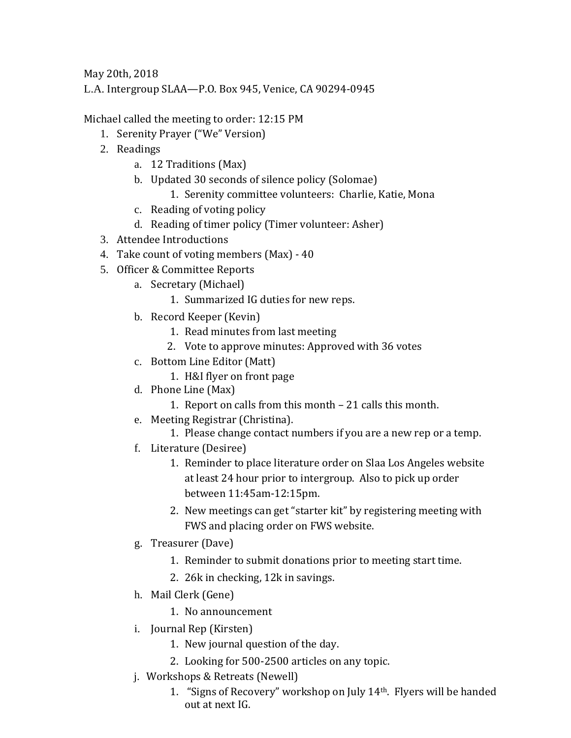May 20th, 2018

L.A. Intergroup SLAA—P.O. Box 945, Venice, CA 90294-0945

Michael called the meeting to order: 12:15 PM

- 1. Serenity Prayer ("We" Version)
- 2. Readings
	- a. 12 Traditions (Max)
	- b. Updated 30 seconds of silence policy (Solomae)
		- 1. Serenity committee volunteers: Charlie, Katie, Mona
	- c. Reading of voting policy
	- d. Reading of timer policy (Timer volunteer: Asher)
- 3. Attendee Introductions
- 4. Take count of voting members (Max) 40
- 5. Officer & Committee Reports
	- a. Secretary (Michael)
		- 1. Summarized IG duties for new reps.
	- b. Record Keeper (Kevin)
		- 1. Read minutes from last meeting
		- 2. Vote to approve minutes: Approved with 36 votes
	- c. Bottom Line Editor (Matt)
		- 1. H&I flyer on front page
	- d. Phone Line (Max)
		- 1. Report on calls from this month 21 calls this month.
	- e. Meeting Registrar (Christina).
		- 1. Please change contact numbers if you are a new rep or a temp.
	- f. Literature (Desiree)
		- 1. Reminder to place literature order on Slaa Los Angeles website at least 24 hour prior to intergroup. Also to pick up order between 11:45am-12:15pm.
		- 2. New meetings can get "starter kit" by registering meeting with FWS and placing order on FWS website.
	- g. Treasurer (Dave)
		- 1. Reminder to submit donations prior to meeting start time.
		- 2. 26k in checking, 12k in savings.
	- h. Mail Clerk (Gene)
		- 1. No announcement
	- i. Journal Rep (Kirsten)
		- 1. New journal question of the day.
		- 2. Looking for 500-2500 articles on any topic.
	- j. Workshops & Retreats (Newell)
		- 1. "Signs of Recovery" workshop on July 14th. Flyers will be handed out at next IG.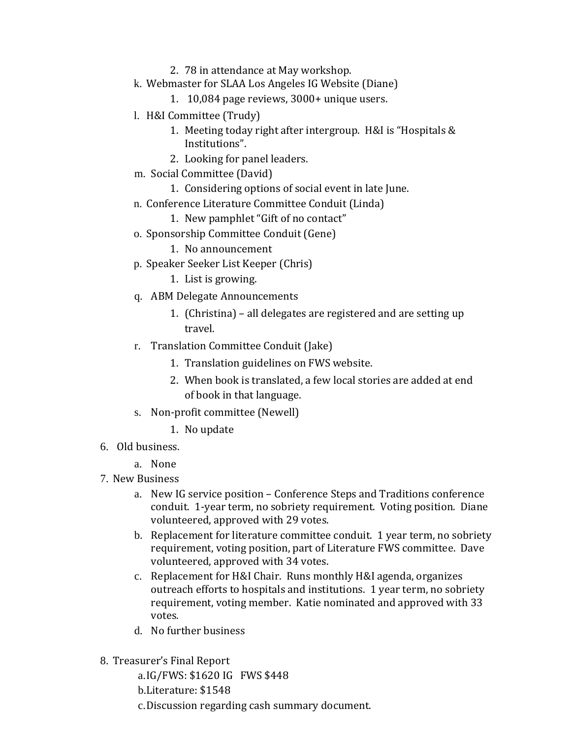- 2. 78 in attendance at May workshop.
- k. Webmaster for SLAA Los Angeles IG Website (Diane)
	- 1. 10,084 page reviews, 3000+ unique users.
- l. H&I Committee (Trudy)
	- 1. Meeting today right after intergroup. H&I is "Hospitals & Institutions".
	- 2. Looking for panel leaders.
- m. Social Committee (David)
	- 1. Considering options of social event in late June.
- n. Conference Literature Committee Conduit (Linda)
	- 1. New pamphlet "Gift of no contact"
- o. Sponsorship Committee Conduit (Gene)
	- 1. No announcement
- p. Speaker Seeker List Keeper (Chris)
	- 1. List is growing.
- q. ABM Delegate Announcements
	- 1. (Christina) all delegates are registered and are setting up travel.
- r. Translation Committee Conduit (Jake)
	- 1. Translation guidelines on FWS website.
	- 2. When book is translated, a few local stories are added at end of book in that language.
- s. Non-profit committee (Newell)
	- 1. No update
- 6. Old business.
	- a. None
- 7. New Business
	- a. New IG service position Conference Steps and Traditions conference conduit. 1-year term, no sobriety requirement. Voting position. Diane volunteered, approved with 29 votes.
	- b. Replacement for literature committee conduit. 1 year term, no sobriety requirement, voting position, part of Literature FWS committee. Dave volunteered, approved with 34 votes.
	- c. Replacement for H&I Chair. Runs monthly H&I agenda, organizes outreach efforts to hospitals and institutions. 1 year term, no sobriety requirement, voting member. Katie nominated and approved with 33 votes.
	- d. No further business
- 8. Treasurer's Final Report

a.IG/FWS: \$1620 IG FWS \$448 b.Literature: \$1548 c.Discussion regarding cash summary document.